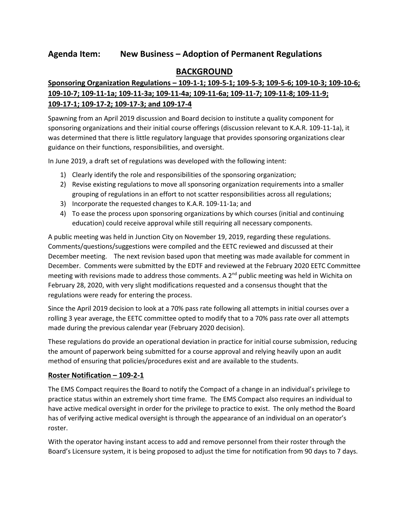### **BACKGROUND**

# **Sponsoring Organization Regulations ʹ 109-1-1; 109-5-1; 109-5-3; 109-5-6; 109-10-3; 109-10-6; 109-10-7; 109-11-1a; 109-11-3a; 109-11-4a; 109-11-6a; 109-11-7; 109-11-8; 109-11-9; 109-17-1; 109-17-2; 109-17-3; and 109-17-4**

Spawning from an April 2019 discussion and Board decision to institute a quality component for sponsoring organizations and their initial course offerings (discussion relevant to K.A.R. 109-11-1a), it was determined that there is little regulatory language that provides sponsoring organizations clear guidance on their functions, responsibilities, and oversight.

In June 2019, a draft set of regulations was developed with the following intent:

- 1) Clearly identify the role and responsibilities of the sponsoring organization;
- 2) Revise existing regulations to move all sponsoring organization requirements into a smaller grouping of regulations in an effort to not scatter responsibilities across all regulations;
- 3) Incorporate the requested changes to K.A.R. 109-11-1a; and
- 4) To ease the process upon sponsoring organizations by which courses (initial and continuing education) could receive approval while still requiring all necessary components.

A public meeting was held in Junction City on November 19, 2019, regarding these regulations. Comments/questions/suggestions were compiled and the EETC reviewed and discussed at their December meeting. The next revision based upon that meeting was made available for comment in December. Comments were submitted by the EDTF and reviewed at the February 2020 EETC Committee meeting with revisions made to address those comments. A 2<sup>nd</sup> public meeting was held in Wichita on February 28, 2020, with very slight modifications requested and a consensus thought that the regulations were ready for entering the process.

Since the April 2019 decision to look at a 70% pass rate following all attempts in initial courses over a rolling 3 year average, the EETC committee opted to modify that to a 70% pass rate over all attempts made during the previous calendar year (February 2020 decision).

These regulations do provide an operational deviation in practice for initial course submission, reducing the amount of paperwork being submitted for a course approval and relying heavily upon an audit method of ensuring that policies/procedures exist and are available to the students.

#### **Roster Notification – 109-2-1**

The EMS Compact requires the Board to notify the Compact of a change in an individual's privilege to practice status within an extremely short time frame. The EMS Compact also requires an individual to have active medical oversight in order for the privilege to practice to exist. The only method the Board has of verifying active medical oversight is through the appearance of an individual on an operator's roster.

With the operator having instant access to add and remove personnel from their roster through the Board's Licensure system, it is being proposed to adjust the time for notification from 90 days to 7 days.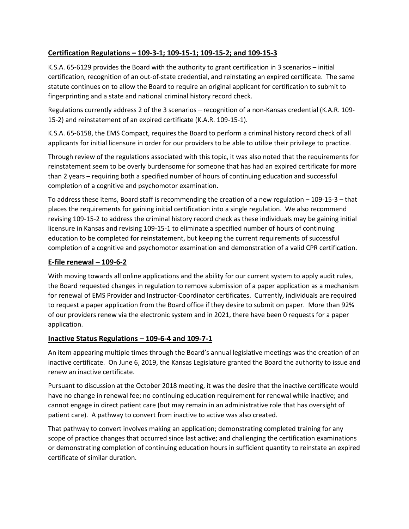### **Certification Regulations ʹ 109-3-1; 109-15-1; 109-15-2; and 109-15-3**

K.S.A. 65-6129 provides the Board with the authority to grant certification in 3 scenarios – initial certification, recognition of an out-of-state credential, and reinstating an expired certificate. The same statute continues on to allow the Board to require an original applicant for certification to submit to fingerprinting and a state and national criminal history record check.

Regulations currently address 2 of the 3 scenarios – recognition of a non-Kansas credential (K.A.R. 109-15-2) and reinstatement of an expired certificate (K.A.R. 109-15-1).

K.S.A. 65-6158, the EMS Compact, requires the Board to perform a criminal history record check of all applicants for initial licensure in order for our providers to be able to utilize their privilege to practice.

Through review of the regulations associated with this topic, it was also noted that the requirements for reinstatement seem to be overly burdensome for someone that has had an expired certificate for more than 2 years – requiring both a specified number of hours of continuing education and successful completion of a cognitive and psychomotor examination.

To address these items, Board staff is recommending the creation of a new regulation  $-109-15-3$  -that places the requirements for gaining initial certification into a single regulation. We also recommend revising 109-15-2 to address the criminal history record check as these individuals may be gaining initial licensure in Kansas and revising 109-15-1 to eliminate a specified number of hours of continuing education to be completed for reinstatement, but keeping the current requirements of successful completion of a cognitive and psychomotor examination and demonstration of a valid CPR certification.

### **E-file renewal ʹ 109-6-2**

With moving towards all online applications and the ability for our current system to apply audit rules, the Board requested changes in regulation to remove submission of a paper application as a mechanism for renewal of EMS Provider and Instructor-Coordinator certificates. Currently, individuals are required to request a paper application from the Board office if they desire to submit on paper. More than 92% of our providers renew via the electronic system and in 2021, there have been 0 requests for a paper application.

#### **Inactive Status Regulations ʹ 109-6-4 and 109-7-1**

An item appearing multiple times through the Board's annual legislative meetings was the creation of an inactive certificate. On June 6, 2019, the Kansas Legislature granted the Board the authority to issue and renew an inactive certificate.

Pursuant to discussion at the October 2018 meeting, it was the desire that the inactive certificate would have no change in renewal fee; no continuing education requirement for renewal while inactive; and cannot engage in direct patient care (but may remain in an administrative role that has oversight of patient care). A pathway to convert from inactive to active was also created.

That pathway to convert involves making an application; demonstrating completed training for any scope of practice changes that occurred since last active; and challenging the certification examinations or demonstrating completion of continuing education hours in sufficient quantity to reinstate an expired certificate of similar duration.